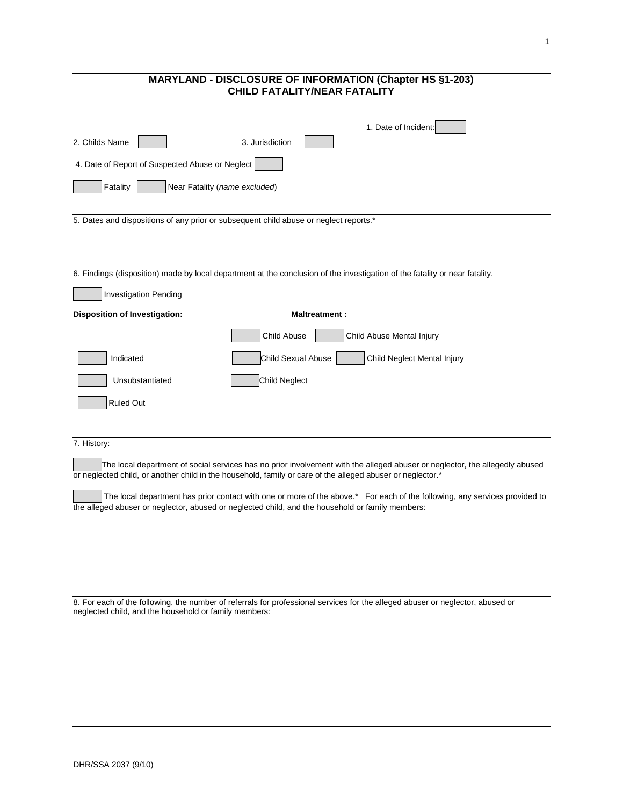## **MARYLAND - DISCLOSURE OF INFORMATION (Chapter HS §1-203) CHILD FATALITY/NEAR FATALITY**

|                                                                                       | 1. Date of Incident:                                                                                                                                                                                                                      |
|---------------------------------------------------------------------------------------|-------------------------------------------------------------------------------------------------------------------------------------------------------------------------------------------------------------------------------------------|
| 2. Childs Name                                                                        | 3. Jurisdiction                                                                                                                                                                                                                           |
| 4. Date of Report of Suspected Abuse or Neglect                                       |                                                                                                                                                                                                                                           |
| Fatality<br>Near Fatality (name excluded)                                             |                                                                                                                                                                                                                                           |
| 5. Dates and dispositions of any prior or subsequent child abuse or neglect reports.* |                                                                                                                                                                                                                                           |
|                                                                                       | 6. Findings (disposition) made by local department at the conclusion of the investigation of the fatality or near fatality.                                                                                                               |
| <b>Investigation Pending</b>                                                          |                                                                                                                                                                                                                                           |
| <b>Disposition of Investigation:</b>                                                  | <b>Maltreatment:</b>                                                                                                                                                                                                                      |
|                                                                                       | Child Abuse<br>Child Abuse Mental Injury                                                                                                                                                                                                  |
| Indicated                                                                             | Child Sexual Abuse<br>Child Neglect Mental Injury                                                                                                                                                                                         |
| Unsubstantiated                                                                       | Child Neglect                                                                                                                                                                                                                             |
| <b>Ruled Out</b>                                                                      |                                                                                                                                                                                                                                           |
|                                                                                       |                                                                                                                                                                                                                                           |
| 7. History:                                                                           |                                                                                                                                                                                                                                           |
|                                                                                       | The local department of social services has no prior involvement with the alleged abuser or neglector, the allegedly abused<br>or neglected child, or another child in the household, family or care of the alleged abuser or neglector.* |
|                                                                                       | The local department has prior contact with one or more of the above.* For each of the following, any services provided to<br>the alleged abuser or neglector, abused or neglected child, and the household or family members:            |
|                                                                                       |                                                                                                                                                                                                                                           |
|                                                                                       |                                                                                                                                                                                                                                           |

8. For each of the following, the number of referrals for professional services for the alleged abuser or neglector, abused or neglected child, and the household or family members: